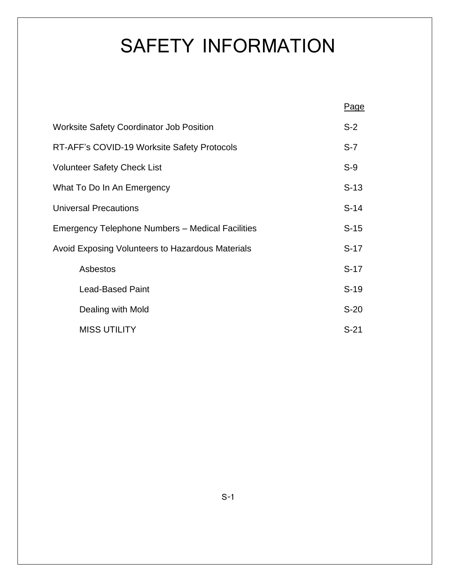# SAFETY INFORMATION

|                                                  | <b>Page</b> |  |  |  |
|--------------------------------------------------|-------------|--|--|--|
| <b>Worksite Safety Coordinator Job Position</b>  |             |  |  |  |
| RT-AFF's COVID-19 Worksite Safety Protocols      |             |  |  |  |
| <b>Volunteer Safety Check List</b>               |             |  |  |  |
| What To Do In An Emergency                       |             |  |  |  |
| <b>Universal Precautions</b>                     |             |  |  |  |
| Emergency Telephone Numbers - Medical Facilities |             |  |  |  |
| Avoid Exposing Volunteers to Hazardous Materials |             |  |  |  |
| Asbestos                                         | $S-17$      |  |  |  |
| <b>Lead-Based Paint</b>                          | $S-19$      |  |  |  |
| Dealing with Mold                                | $S-20$      |  |  |  |
| <b>MISS UTILITY</b>                              | $S-21$      |  |  |  |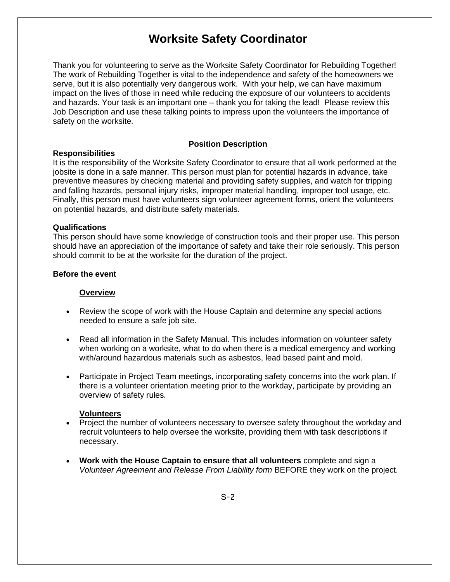# **Worksite Safety Coordinator**

Thank you for volunteering to serve as the Worksite Safety Coordinator for Rebuilding Together! The work of Rebuilding Together is vital to the independence and safety of the homeowners we serve, but it is also potentially very dangerous work. With your help, we can have maximum impact on the lives of those in need while reducing the exposure of our volunteers to accidents and hazards. Your task is an important one – thank you for taking the lead! Please review this Job Description and use these talking points to impress upon the volunteers the importance of safety on the worksite.

#### **Position Description**

#### **Responsibilities**

It is the responsibility of the Worksite Safety Coordinator to ensure that all work performed at the jobsite is done in a safe manner. This person must plan for potential hazards in advance, take preventive measures by checking material and providing safety supplies, and watch for tripping and falling hazards, personal injury risks, improper material handling, improper tool usage, etc. Finally, this person must have volunteers sign volunteer agreement forms, orient the volunteers on potential hazards, and distribute safety materials.

#### **Qualifications**

This person should have some knowledge of construction tools and their proper use. This person should have an appreciation of the importance of safety and take their role seriously. This person should commit to be at the worksite for the duration of the project.

#### **Before the event**

#### **Overview**

- Review the scope of work with the House Captain and determine any special actions needed to ensure a safe job site.
- Read all information in the Safety Manual. This includes information on volunteer safety when working on a worksite, what to do when there is a medical emergency and working with/around hazardous materials such as asbestos, lead based paint and mold.
- Participate in Project Team meetings, incorporating safety concerns into the work plan. If there is a volunteer orientation meeting prior to the workday, participate by providing an overview of safety rules.

#### **Volunteers**

- Project the number of volunteers necessary to oversee safety throughout the workday and recruit volunteers to help oversee the worksite, providing them with task descriptions if necessary.
- **Work with the House Captain to ensure that all volunteers** complete and sign a *Volunteer Agreement and Release From Liability form* BEFORE they work on the project.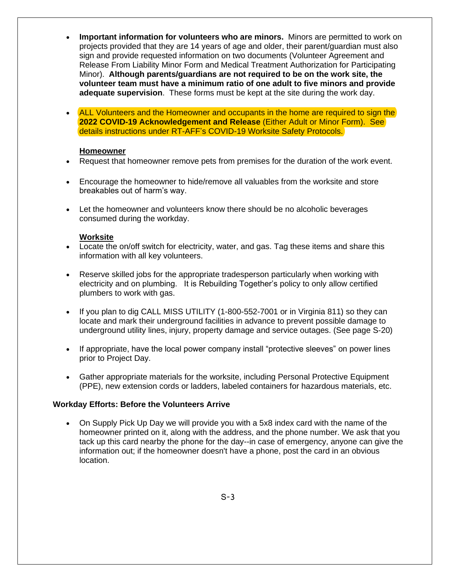- **Important information for volunteers who are minors.** Minors are permitted to work on projects provided that they are 14 years of age and older, their parent/guardian must also sign and provide requested information on two documents (Volunteer Agreement and Release From Liability Minor Form and Medical Treatment Authorization for Participating Minor). **Although parents/guardians are not required to be on the work site, the volunteer team must have a minimum ratio of one adult to five minors and provide adequate supervision**. These forms must be kept at the site during the work day.
- ALL Volunteers and the Homeowner and occupants in the home are required to sign the **2022 COVID-19 Acknowledgement and Release** (Either Adult or Minor Form). See details instructions under RT-AFF's COVID-19 Worksite Safety Protocols.

#### **Homeowner**

- Request that homeowner remove pets from premises for the duration of the work event.
- Encourage the homeowner to hide/remove all valuables from the worksite and store breakables out of harm's way.
- Let the homeowner and volunteers know there should be no alcoholic beverages consumed during the workday.

#### **Worksite**

- Locate the on/off switch for electricity, water, and gas. Tag these items and share this information with all key volunteers.
- Reserve skilled jobs for the appropriate tradesperson particularly when working with electricity and on plumbing. It is Rebuilding Together's policy to only allow certified plumbers to work with gas.
- If you plan to dig CALL MISS UTILITY (1-800-552-7001 or in Virginia 811) so thev can locate and mark their underground facilities in advance to prevent possible damage to underground utility lines, injury, property damage and service outages. (See page S-20)
- If appropriate, have the local power company install "protective sleeves" on power lines prior to Project Day.
- Gather appropriate materials for the worksite, including Personal Protective Equipment (PPE), new extension cords or ladders, labeled containers for hazardous materials, etc.

#### **Workday Efforts: Before the Volunteers Arrive**

• On Supply Pick Up Day we will provide you with a 5x8 index card with the name of the homeowner printed on it, along with the address, and the phone number. We ask that you tack up this card nearby the phone for the day--in case of emergency, anyone can give the information out; if the homeowner doesn't have a phone, post the card in an obvious location.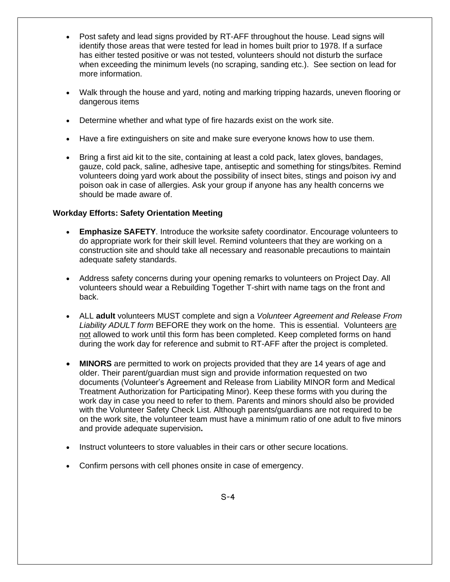- Post safety and lead signs provided by RT-AFF throughout the house. Lead signs will identify those areas that were tested for lead in homes built prior to 1978. If a surface has either tested positive or was not tested, volunteers should not disturb the surface when exceeding the minimum levels (no scraping, sanding etc.). See section on lead for more information.
- Walk through the house and yard, noting and marking tripping hazards, uneven flooring or dangerous items
- Determine whether and what type of fire hazards exist on the work site.
- Have a fire extinguishers on site and make sure everyone knows how to use them.
- Bring a first aid kit to the site, containing at least a cold pack, latex gloves, bandages, gauze, cold pack, saline, adhesive tape, antiseptic and something for stings/bites. Remind volunteers doing yard work about the possibility of insect bites, stings and poison ivy and poison oak in case of allergies. Ask your group if anyone has any health concerns we should be made aware of.

#### **Workday Efforts: Safety Orientation Meeting**

- **Emphasize SAFETY**. Introduce the worksite safety coordinator. Encourage volunteers to do appropriate work for their skill level. Remind volunteers that they are working on a construction site and should take all necessary and reasonable precautions to maintain adequate safety standards.
- Address safety concerns during your opening remarks to volunteers on Project Day. All volunteers should wear a Rebuilding Together T-shirt with name tags on the front and back.
- ALL **adult** volunteers MUST complete and sign a *Volunteer Agreement and Release From Liability ADULT form* BEFORE they work on the home. This is essential. Volunteers are not allowed to work until this form has been completed. Keep completed forms on hand during the work day for reference and submit to RT-AFF after the project is completed.
- **MINORS** are permitted to work on projects provided that they are 14 years of age and older. Their parent/guardian must sign and provide information requested on two documents (Volunteer's Agreement and Release from Liability MINOR form and Medical Treatment Authorization for Participating Minor). Keep these forms with you during the work day in case you need to refer to them. Parents and minors should also be provided with the Volunteer Safety Check List. Although parents/guardians are not required to be on the work site, the volunteer team must have a minimum ratio of one adult to five minors and provide adequate supervision**.**
- Instruct volunteers to store valuables in their cars or other secure locations.
- Confirm persons with cell phones onsite in case of emergency.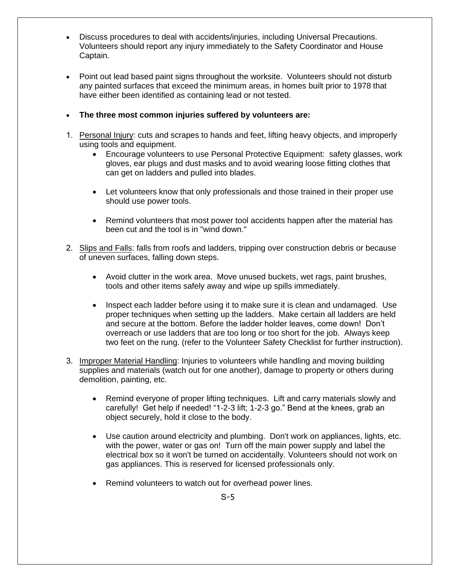- Discuss procedures to deal with accidents/injuries, including Universal Precautions. Volunteers should report any injury immediately to the Safety Coordinator and House Captain.
- Point out lead based paint signs throughout the worksite. Volunteers should not disturb any painted surfaces that exceed the minimum areas, in homes built prior to 1978 that have either been identified as containing lead or not tested.
- **The three most common injuries suffered by volunteers are:**
- 1. Personal Injury: cuts and scrapes to hands and feet, lifting heavy objects, and improperly using tools and equipment.
	- Encourage volunteers to use Personal Protective Equipment: safety glasses, work gloves, ear plugs and dust masks and to avoid wearing loose fitting clothes that can get on ladders and pulled into blades.
	- Let volunteers know that only professionals and those trained in their proper use should use power tools.
	- Remind volunteers that most power tool accidents happen after the material has been cut and the tool is in "wind down."
- 2. Slips and Falls: falls from roofs and ladders, tripping over construction debris or because of uneven surfaces, falling down steps.
	- Avoid clutter in the work area. Move unused buckets, wet rags, paint brushes, tools and other items safely away and wipe up spills immediately.
	- Inspect each ladder before using it to make sure it is clean and undamaged. Use proper techniques when setting up the ladders. Make certain all ladders are held and secure at the bottom. Before the ladder holder leaves, come down! Don't overreach or use ladders that are too long or too short for the job. Always keep two feet on the rung. (refer to the Volunteer Safety Checklist for further instruction).
- 3. Improper Material Handling: Injuries to volunteers while handling and moving building supplies and materials (watch out for one another), damage to property or others during demolition, painting, etc.
	- Remind everyone of proper lifting techniques. Lift and carry materials slowly and carefully! Get help if needed! "1-2-3 lift; 1-2-3 go." Bend at the knees, grab an object securely, hold it close to the body.
	- Use caution around electricity and plumbing. Don't work on appliances, lights, etc. with the power, water or gas on! Turn off the main power supply and label the electrical box so it won't be turned on accidentally. Volunteers should not work on gas appliances. This is reserved for licensed professionals only.
	- Remind volunteers to watch out for overhead power lines.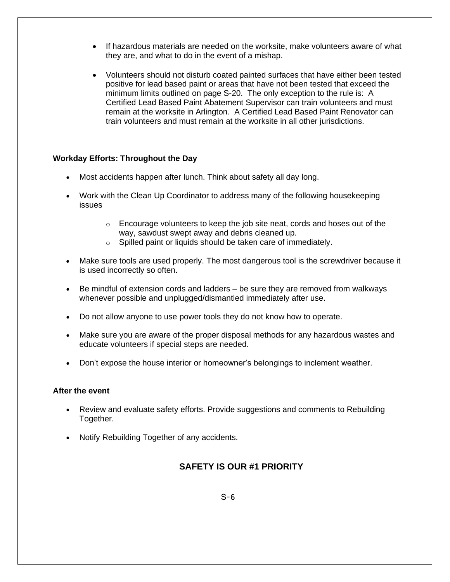- If hazardous materials are needed on the worksite, make volunteers aware of what they are, and what to do in the event of a mishap.
- Volunteers should not disturb coated painted surfaces that have either been tested positive for lead based paint or areas that have not been tested that exceed the minimum limits outlined on page S-20. The only exception to the rule is: A Certified Lead Based Paint Abatement Supervisor can train volunteers and must remain at the worksite in Arlington. A Certified Lead Based Paint Renovator can train volunteers and must remain at the worksite in all other jurisdictions.

#### **Workday Efforts: Throughout the Day**

- Most accidents happen after lunch. Think about safety all day long.
- Work with the Clean Up Coordinator to address many of the following housekeeping issues
	- $\circ$  Encourage volunteers to keep the job site neat, cords and hoses out of the way, sawdust swept away and debris cleaned up.
	- o Spilled paint or liquids should be taken care of immediately.
- Make sure tools are used properly. The most dangerous tool is the screwdriver because it is used incorrectly so often.
- Be mindful of extension cords and ladders be sure they are removed from walkways whenever possible and unplugged/dismantled immediately after use.
- Do not allow anyone to use power tools they do not know how to operate.
- Make sure you are aware of the proper disposal methods for any hazardous wastes and educate volunteers if special steps are needed.
- Don't expose the house interior or homeowner's belongings to inclement weather.

#### **After the event**

- Review and evaluate safety efforts. Provide suggestions and comments to Rebuilding Together.
- Notify Rebuilding Together of any accidents.

#### **SAFETY IS OUR #1 PRIORITY**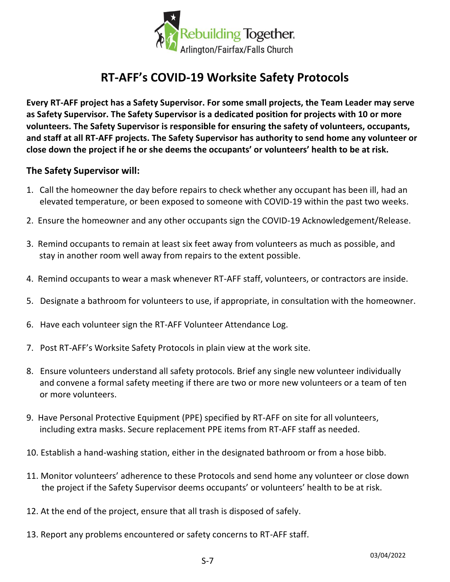

# **RT-AFF's COVID-19 Worksite Safety Protocols**

**Every RT-AFF project has a Safety Supervisor. For some small projects, the Team Leader may serve as Safety Supervisor. The Safety Supervisor is a dedicated position for projects with 10 or more volunteers. The Safety Supervisor is responsible for ensuring the safety of volunteers, occupants, and staff at all RT-AFF projects. The Safety Supervisor has authority to send home any volunteer or close down the project if he or she deems the occupants' or volunteers' health to be at risk.** 

#### **The Safety Supervisor will:**

- 1. Call the homeowner the day before repairs to check whether any occupant has been ill, had an elevated temperature, or been exposed to someone with COVID-19 within the past two weeks.
- 2. Ensure the homeowner and any other occupants sign the COVID-19 Acknowledgement/Release.
- 3. Remind occupants to remain at least six feet away from volunteers as much as possible, and stay in another room well away from repairs to the extent possible.
- 4. Remind occupants to wear a mask whenever RT-AFF staff, volunteers, or contractors are inside.
- 5. Designate a bathroom for volunteers to use, if appropriate, in consultation with the homeowner.
- 6. Have each volunteer sign the RT-AFF Volunteer Attendance Log.
- 7. Post RT-AFF's Worksite Safety Protocols in plain view at the work site.
- 8. Ensure volunteers understand all safety protocols. Brief any single new volunteer individually and convene a formal safety meeting if there are two or more new volunteers or a team of ten or more volunteers.
- 9. Have Personal Protective Equipment (PPE) specified by RT-AFF on site for all volunteers, including extra masks. Secure replacement PPE items from RT-AFF staff as needed.
- 10. Establish a hand-washing station, either in the designated bathroom or from a hose bibb.
- 11. Monitor volunteers' adherence to these Protocols and send home any volunteer or close down the project if the Safety Supervisor deems occupants' or volunteers' health to be at risk.
- 12. At the end of the project, ensure that all trash is disposed of safely.
- 13. Report any problems encountered or safety concerns to RT-AFF staff.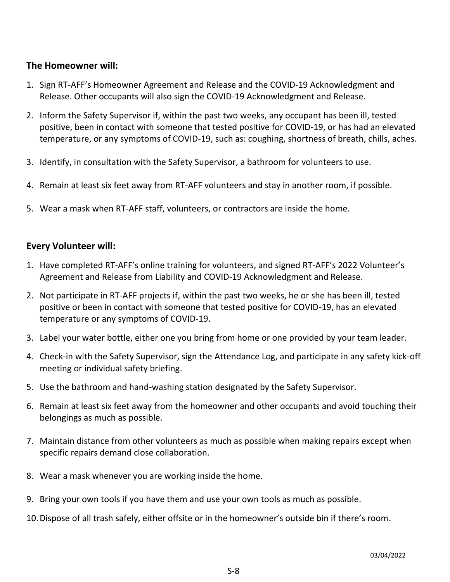#### **The Homeowner will:**

- 1. Sign RT-AFF's Homeowner Agreement and Release and the COVID-19 Acknowledgment and Release. Other occupants will also sign the COVID-19 Acknowledgment and Release.
- 2. Inform the Safety Supervisor if, within the past two weeks, any occupant has been ill, tested positive, been in contact with someone that tested positive for COVID-19, or has had an elevated temperature, or any symptoms of COVID-19, such as: coughing, shortness of breath, chills, aches.
- 3. Identify, in consultation with the Safety Supervisor, a bathroom for volunteers to use.
- 4. Remain at least six feet away from RT-AFF volunteers and stay in another room, if possible.
- 5. Wear a mask when RT-AFF staff, volunteers, or contractors are inside the home.

#### **Every Volunteer will:**

- 1. Have completed RT-AFF's online training for volunteers, and signed RT-AFF's 2022 Volunteer's Agreement and Release from Liability and COVID-19 Acknowledgment and Release.
- 2. Not participate in RT-AFF projects if, within the past two weeks, he or she has been ill, tested positive or been in contact with someone that tested positive for COVID-19, has an elevated temperature or any symptoms of COVID-19.
- 3. Label your water bottle, either one you bring from home or one provided by your team leader.
- 4. Check-in with the Safety Supervisor, sign the Attendance Log, and participate in any safety kick-off meeting or individual safety briefing.
- 5. Use the bathroom and hand-washing station designated by the Safety Supervisor.
- 6. Remain at least six feet away from the homeowner and other occupants and avoid touching their belongings as much as possible.
- 7. Maintain distance from other volunteers as much as possible when making repairs except when specific repairs demand close collaboration.
- 8. Wear a mask whenever you are working inside the home.
- 9. Bring your own tools if you have them and use your own tools as much as possible.
- 10.Dispose of all trash safely, either offsite or in the homeowner's outside bin if there's room.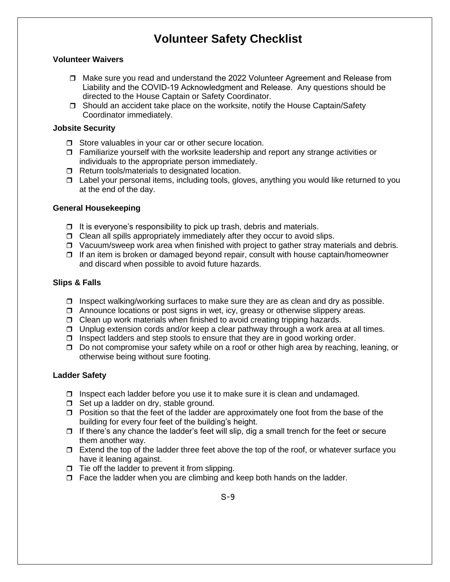# **Volunteer Safety Checklist**

#### **Volunteer Waivers**

- Make sure you read and understand the 2022 Volunteer Agreement and Release from Liability and the COVID-19 Acknowledgment and Release. Any questions should be directed to the House Captain or Safety Coordinator.
- $\Box$  Should an accident take place on the worksite, notify the House Captain/Safety Coordinator immediately.

#### **Jobsite Security**

- □ Store valuables in your car or other secure location.
- $\Box$  Familiarize yourself with the worksite leadership and report any strange activities or individuals to the appropriate person immediately.
- $\Box$  Return tools/materials to designated location.
- $\Box$  Label your personal items, including tools, gloves, anything you would like returned to you at the end of the day.

#### **General Housekeeping**

- $\Box$  It is everyone's responsibility to pick up trash, debris and materials.
- $\Box$  Clean all spills appropriately immediately after they occur to avoid slips.
- $\Box$  Vacuum/sweep work area when finished with project to gather stray materials and debris.
- $\Box$  If an item is broken or damaged beyond repair, consult with house captain/homeowner and discard when possible to avoid future hazards.

#### **Slips & Falls**

- $\Box$  Inspect walking/working surfaces to make sure they are as clean and dry as possible.
- $\Box$  Announce locations or post signs in wet, icy, greasy or otherwise slippery areas.
- $\Box$  Clean up work materials when finished to avoid creating tripping hazards.
- $\Box$  Unplug extension cords and/or keep a clear pathway through a work area at all times.
- $\Box$  Inspect ladders and step stools to ensure that they are in good working order.
- □ Do not compromise your safety while on a roof or other high area by reaching, leaning, or otherwise being without sure footing.

#### **Ladder Safety**

- $\Box$  Inspect each ladder before you use it to make sure it is clean and undamaged.
- $\Box$  Set up a ladder on dry, stable ground.
- $\Box$  Position so that the feet of the ladder are approximately one foot from the base of the building for every four feet of the building's height.
- $\Box$  If there's any chance the ladder's feet will slip, dig a small trench for the feet or secure them another way.
- $\Box$  Extend the top of the ladder three feet above the top of the roof, or whatever surface you have it leaning against.
- $\Box$  Tie off the ladder to prevent it from slipping.
- $\Box$  Face the ladder when you are climbing and keep both hands on the ladder.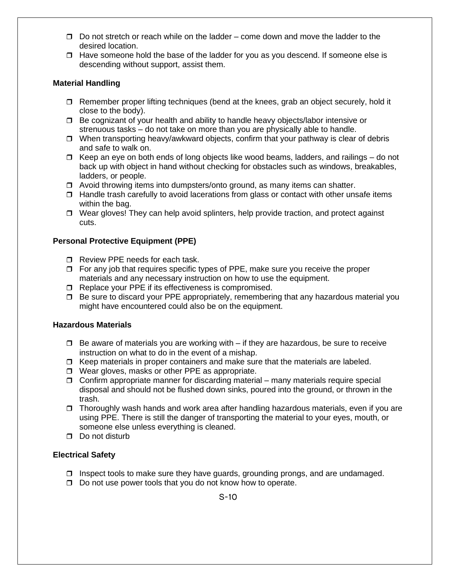- $\Box$  Do not stretch or reach while on the ladder come down and move the ladder to the desired location.
- $\Box$  Have someone hold the base of the ladder for you as you descend. If someone else is descending without support, assist them.

#### **Material Handling**

- $\Box$  Remember proper lifting techniques (bend at the knees, grab an object securely, hold it close to the body).
- □ Be cognizant of your health and ability to handle heavy objects/labor intensive or strenuous tasks – do not take on more than you are physically able to handle.
- $\Box$  When transporting heavy/awkward objects, confirm that your pathway is clear of debris and safe to walk on.
- $\Box$  Keep an eye on both ends of long objects like wood beams, ladders, and railings do not back up with object in hand without checking for obstacles such as windows, breakables, ladders, or people.
- $\Box$  Avoid throwing items into dumpsters/onto ground, as many items can shatter.
- $\Box$  Handle trash carefully to avoid lacerations from glass or contact with other unsafe items within the bag.
- $\Box$  Wear gloves! They can help avoid splinters, help provide traction, and protect against cuts.

#### **Personal Protective Equipment (PPE)**

- Review PPE needs for each task.
- $\Box$  For any job that requires specific types of PPE, make sure you receive the proper materials and any necessary instruction on how to use the equipment.
- □ Replace your PPE if its effectiveness is compromised.
- $\Box$  Be sure to discard your PPE appropriately, remembering that any hazardous material you might have encountered could also be on the equipment.

#### **Hazardous Materials**

- $\Box$  Be aware of materials you are working with  $-$  if they are hazardous, be sure to receive instruction on what to do in the event of a mishap.
- $\Box$  Keep materials in proper containers and make sure that the materials are labeled.
- □ Wear gloves, masks or other PPE as appropriate.
- $\Box$  Confirm appropriate manner for discarding material many materials require special disposal and should not be flushed down sinks, poured into the ground, or thrown in the trash.
- $\Box$  Thoroughly wash hands and work area after handling hazardous materials, even if you are using PPE. There is still the danger of transporting the material to your eyes, mouth, or someone else unless everything is cleaned.
- $\Box$  Do not disturb

#### **Electrical Safety**

- $\Box$  Inspect tools to make sure they have guards, grounding prongs, and are undamaged.
- $\Box$  Do not use power tools that you do not know how to operate.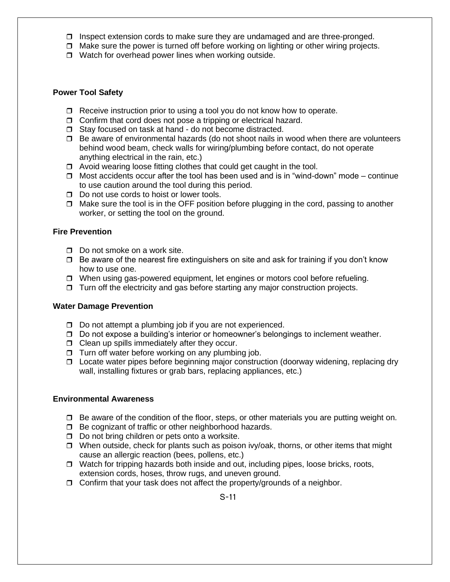- $\Box$  Inspect extension cords to make sure they are undamaged and are three-pronged.
- $\Box$  Make sure the power is turned off before working on lighting or other wiring projects.
- $\Box$  Watch for overhead power lines when working outside.

#### **Power Tool Safety**

- $\Box$  Receive instruction prior to using a tool you do not know how to operate.
- $\Box$  Confirm that cord does not pose a tripping or electrical hazard.
- □ Stay focused on task at hand do not become distracted.
- $\Box$  Be aware of environmental hazards (do not shoot nails in wood when there are volunteers behind wood beam, check walls for wiring/plumbing before contact, do not operate anything electrical in the rain, etc.)
- $\Box$  Avoid wearing loose fitting clothes that could get caught in the tool.
- $\Box$  Most accidents occur after the tool has been used and is in "wind-down" mode continue to use caution around the tool during this period.
- $\Box$  Do not use cords to hoist or lower tools.
- $\Box$  Make sure the tool is in the OFF position before plugging in the cord, passing to another worker, or setting the tool on the ground.

#### **Fire Prevention**

- $\Box$  Do not smoke on a work site.
- $\Box$  Be aware of the nearest fire extinguishers on site and ask for training if you don't know how to use one.
- □ When using gas-powered equipment, let engines or motors cool before refueling.
- $\Box$  Turn off the electricity and gas before starting any major construction projects.

#### **Water Damage Prevention**

- $\Box$  Do not attempt a plumbing job if you are not experienced.
- $\Box$  Do not expose a building's interior or homeowner's belongings to inclement weather.
- $\Box$  Clean up spills immediately after they occur.
- $\Box$  Turn off water before working on any plumbing job.
- □ Locate water pipes before beginning major construction (doorway widening, replacing dry wall, installing fixtures or grab bars, replacing appliances, etc.)

#### **Environmental Awareness**

- $\Box$  Be aware of the condition of the floor, steps, or other materials you are putting weight on.
- $\Box$  Be cognizant of traffic or other neighborhood hazards.
- $\Box$  Do not bring children or pets onto a worksite.
- $\Box$  When outside, check for plants such as poison ivy/oak, thorns, or other items that might cause an allergic reaction (bees, pollens, etc.)
- $\Box$  Watch for tripping hazards both inside and out, including pipes, loose bricks, roots, extension cords, hoses, throw rugs, and uneven ground.
- $\Box$  Confirm that your task does not affect the property/grounds of a neighbor.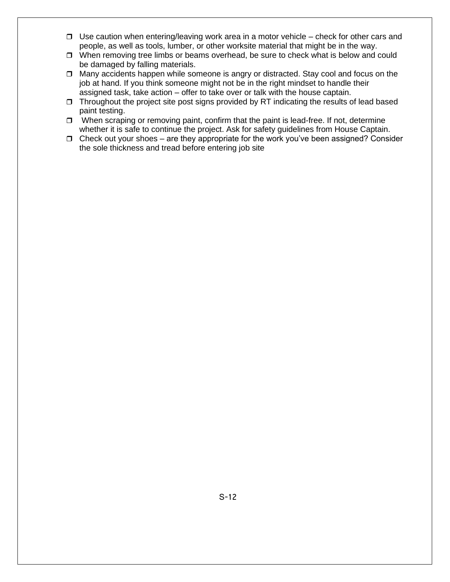- $\Box$  Use caution when entering/leaving work area in a motor vehicle check for other cars and people, as well as tools, lumber, or other worksite material that might be in the way.
- $\Box$  When removing tree limbs or beams overhead, be sure to check what is below and could be damaged by falling materials.
- Many accidents happen while someone is angry or distracted. Stay cool and focus on the job at hand. If you think someone might not be in the right mindset to handle their assigned task, take action – offer to take over or talk with the house captain.
- $\Box$  Throughout the project site post signs provided by RT indicating the results of lead based paint testing.
- $\Box$  When scraping or removing paint, confirm that the paint is lead-free. If not, determine whether it is safe to continue the project. Ask for safety guidelines from House Captain.
- $\Box$  Check out your shoes are they appropriate for the work you've been assigned? Consider the sole thickness and tread before entering job site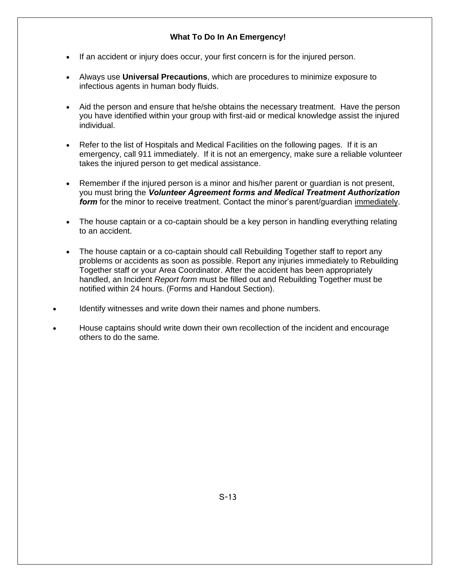#### **What To Do In An Emergency!**

- If an accident or injury does occur, your first concern is for the injured person.
- Always use **Universal Precautions**, which are procedures to minimize exposure to infectious agents in human body fluids.
- Aid the person and ensure that he/she obtains the necessary treatment. Have the person you have identified within your group with first-aid or medical knowledge assist the injured individual.
- Refer to the list of Hospitals and Medical Facilities on the following pages. If it is an emergency, call 911 immediately. If it is not an emergency, make sure a reliable volunteer takes the injured person to get medical assistance.
- Remember if the injured person is a minor and his/her parent or guardian is not present, you must bring the *Volunteer Agreement forms and Medical Treatment Authorization form* for the minor to receive treatment. Contact the minor's parent/quardian immediately.
- The house captain or a co-captain should be a key person in handling everything relating to an accident.
- The house captain or a co-captain should call Rebuilding Together staff to report any problems or accidents as soon as possible. Report any injuries immediately to Rebuilding Together staff or your Area Coordinator. After the accident has been appropriately handled, an Incident *Report form* must be filled out and Rebuilding Together must be notified within 24 hours. (Forms and Handout Section).
- Identify witnesses and write down their names and phone numbers.
- House captains should write down their own recollection of the incident and encourage others to do the same.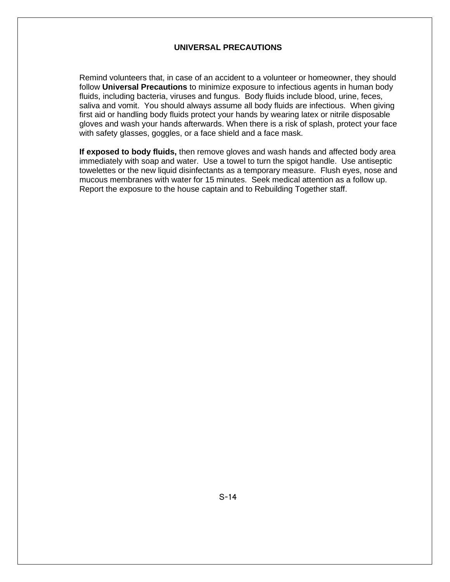#### **UNIVERSAL PRECAUTIONS**

Remind volunteers that, in case of an accident to a volunteer or homeowner, they should follow **Universal Precautions** to minimize exposure to infectious agents in human body fluids, including bacteria, viruses and fungus. Body fluids include blood, urine, feces, saliva and vomit. You should always assume all body fluids are infectious. When giving first aid or handling body fluids protect your hands by wearing latex or nitrile disposable gloves and wash your hands afterwards. When there is a risk of splash, protect your face with safety glasses, goggles, or a face shield and a face mask.

**If exposed to body fluids,** then remove gloves and wash hands and affected body area immediately with soap and water. Use a towel to turn the spigot handle. Use antiseptic towelettes or the new liquid disinfectants as a temporary measure. Flush eyes, nose and mucous membranes with water for 15 minutes. Seek medical attention as a follow up. Report the exposure to the house captain and to Rebuilding Together staff.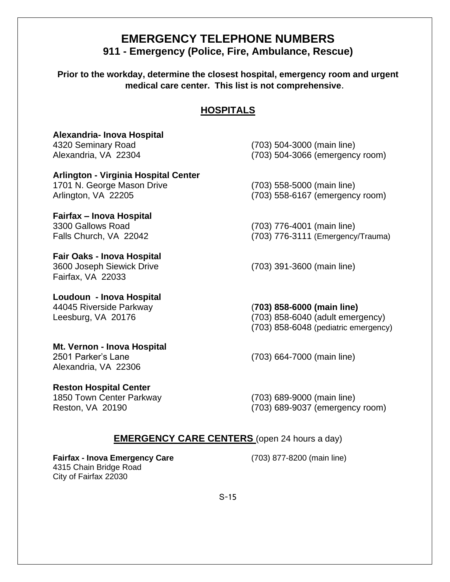### **EMERGENCY TELEPHONE NUMBERS 911 - Emergency (Police, Fire, Ambulance, Rescue)**

**Prior to the workday, determine the closest hospital, emergency room and urgent medical care center. This list is not comprehensive**.

#### **HOSPITALS**

# **Alexandria- Inova Hospital** 4320 Seminary Road (703) 504-3000 (main line)

# **Arlington - Virginia Hospital Center**  1701 N. George Mason Drive (703) 558-5000 (main line)

# **Fairfax – Inova Hospital**

**Fair Oaks - Inova Hospital** 3600 Joseph Siewick Drive (703) 391-3600 (main line) Fairfax, VA 22033

**Loudoun - Inova Hospital** 44045 Riverside Parkway (**703) 858-6000 (main line)**

#### **Mt. Vernon - Inova Hospital** 2501 Parker's Lane (703) 664-7000 (main line) Alexandria, VA 22306

**Reston Hospital Center** 1850 Town Center Parkway (703) 689-9000 (main line)

# Alexandria, VA 22304 (703) 504-3066 (emergency room)

Arlington, VA 22205 (703) 558-6167 (emergency room)

3300 Gallows Road (703) 776-4001 (main line) Falls Church, VA 22042 (703) 776-3111 (Emergency/Trauma)

Leesburg, VA 20176 (703) 858-6040 (adult emergency)

(703) 858-6048 (pediatric emergency)

Reston, VA 20190 (703) 689-9037 (emergency room)

#### **EMERGENCY CARE CENTERS** (open 24 hours a day)

**Fairfax - Inova Emergency Care** (703) 877-8200 (main line) 4315 Chain Bridge Road City of Fairfax 22030

S-15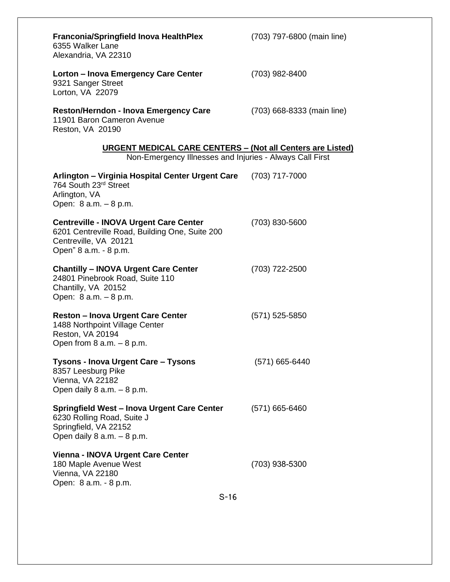| <b>Franconia/Springfield Inova HealthPlex</b><br>6355 Walker Lane<br>Alexandria, VA 22310                                                         | (703) 797-6800 (main line) |
|---------------------------------------------------------------------------------------------------------------------------------------------------|----------------------------|
| Lorton - Inova Emergency Care Center<br>9321 Sanger Street<br>Lorton, VA 22079                                                                    | (703) 982-8400             |
| <b>Reston/Herndon - Inova Emergency Care</b><br>11901 Baron Cameron Avenue<br>Reston, VA 20190                                                    | (703) 668-8333 (main line) |
| <b>URGENT MEDICAL CARE CENTERS - (Not all Centers are Listed)</b><br>Non-Emergency Illnesses and Injuries - Always Call First                     |                            |
| Arlington - Virginia Hospital Center Urgent Care<br>764 South 23rd Street<br>Arlington, VA<br>Open: 8 a.m. - 8 p.m.                               | (703) 717-7000             |
| <b>Centreville - INOVA Urgent Care Center</b><br>6201 Centreville Road, Building One, Suite 200<br>Centreville, VA 20121<br>Open" 8 a.m. - 8 p.m. | (703) 830-5600             |
| <b>Chantilly - INOVA Urgent Care Center</b><br>24801 Pinebrook Road, Suite 110<br>Chantilly, VA 20152<br>Open: 8 a.m. - 8 p.m.                    | $(703)$ 722-2500           |
| <b>Reston - Inova Urgent Care Center</b><br>1488 Northpoint Village Center<br>Reston, VA 20194<br>Open from $8$ a.m. $-8$ p.m.                    | $(571)$ 525-5850           |
| <b>Tysons - Inova Urgent Care - Tysons</b><br>8357 Leesburg Pike<br>Vienna, VA 22182<br>Open daily $8$ a.m. $-8$ p.m.                             | (571) 665-6440             |
| <b>Springfield West - Inova Urgent Care Center</b><br>6230 Rolling Road, Suite J<br>Springfield, VA 22152<br>Open daily $8$ a.m. $-8$ p.m.        | $(571)$ 665-6460           |
| <b>Vienna - INOVA Urgent Care Center</b><br>180 Maple Avenue West<br>Vienna, VA 22180<br>Open: 8 a.m. - 8 p.m.                                    | (703) 938-5300             |
| $S-16$                                                                                                                                            |                            |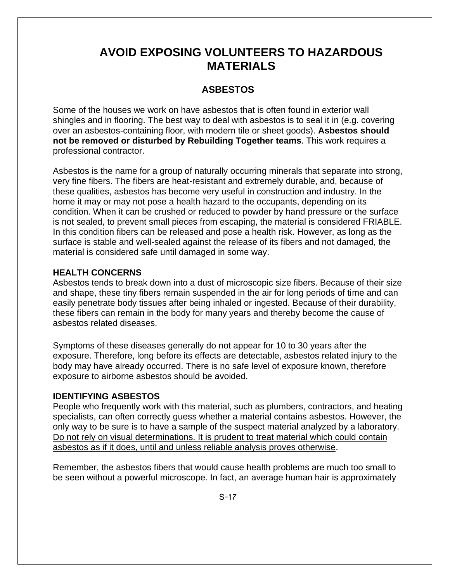# **AVOID EXPOSING VOLUNTEERS TO HAZARDOUS MATERIALS**

#### **ASBESTOS**

Some of the houses we work on have asbestos that is often found in exterior wall shingles and in flooring. The best way to deal with asbestos is to seal it in (e.g. covering over an asbestos-containing floor, with modern tile or sheet goods). **Asbestos should not be removed or disturbed by Rebuilding Together teams**. This work requires a professional contractor.

Asbestos is the name for a group of naturally occurring minerals that separate into strong, very fine fibers. The fibers are heat-resistant and extremely durable, and, because of these qualities, asbestos has become very useful in construction and industry. In the home it may or may not pose a health hazard to the occupants, depending on its condition. When it can be crushed or reduced to powder by hand pressure or the surface is not sealed, to prevent small pieces from escaping, the material is considered FRIABLE. In this condition fibers can be released and pose a health risk. However, as long as the surface is stable and well-sealed against the release of its fibers and not damaged, the material is considered safe until damaged in some way.

#### **HEALTH CONCERNS**

Asbestos tends to break down into a dust of microscopic size fibers. Because of their size and shape, these tiny fibers remain suspended in the air for long periods of time and can easily penetrate body tissues after being inhaled or ingested. Because of their durability, these fibers can remain in the body for many years and thereby become the cause of asbestos related diseases.

Symptoms of these diseases generally do not appear for 10 to 30 years after the exposure. Therefore, long before its effects are detectable, asbestos related injury to the body may have already occurred. There is no safe level of exposure known, therefore exposure to airborne asbestos should be avoided.

#### **IDENTIFYING ASBESTOS**

People who frequently work with this material, such as plumbers, contractors, and heating specialists, can often correctly guess whether a material contains asbestos. However, the only way to be sure is to have a sample of the suspect material analyzed by a laboratory. Do not rely on visual determinations. It is prudent to treat material which could contain asbestos as if it does, until and unless reliable analysis proves otherwise.

Remember, the asbestos fibers that would cause health problems are much too small to be seen without a powerful microscope. In fact, an average human hair is approximately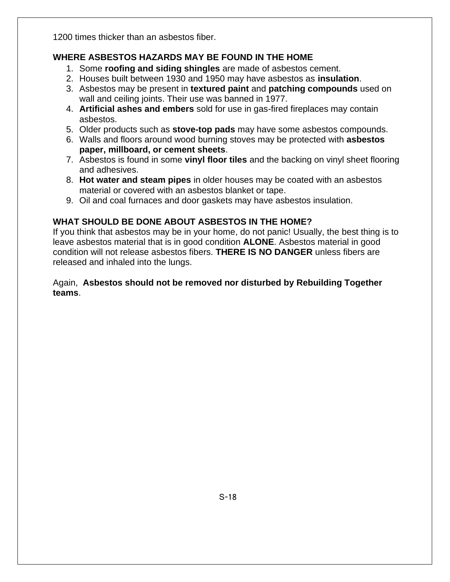1200 times thicker than an asbestos fiber.

#### **WHERE ASBESTOS HAZARDS MAY BE FOUND IN THE HOME**

- 1. Some **roofing and siding shingles** are made of asbestos cement.
- 2. Houses built between 1930 and 1950 may have asbestos as **insulation**.
- 3. Asbestos may be present in **textured paint** and **patching compounds** used on wall and ceiling joints. Their use was banned in 1977.
- 4. **Artificial ashes and embers** sold for use in gas-fired fireplaces may contain asbestos.
- 5. Older products such as **stove-top pads** may have some asbestos compounds.
- 6. Walls and floors around wood burning stoves may be protected with **asbestos paper, millboard, or cement sheets**.
- 7. Asbestos is found in some **vinyl floor tiles** and the backing on vinyl sheet flooring and adhesives.
- 8. **Hot water and steam pipes** in older houses may be coated with an asbestos material or covered with an asbestos blanket or tape.
- 9. Oil and coal furnaces and door gaskets may have asbestos insulation.

### **WHAT SHOULD BE DONE ABOUT ASBESTOS IN THE HOME?**

If you think that asbestos may be in your home, do not panic! Usually, the best thing is to leave asbestos material that is in good condition **ALONE**. Asbestos material in good condition will not release asbestos fibers. **THERE IS NO DANGER** unless fibers are released and inhaled into the lungs.

#### Again, **Asbestos should not be removed nor disturbed by Rebuilding Together teams**.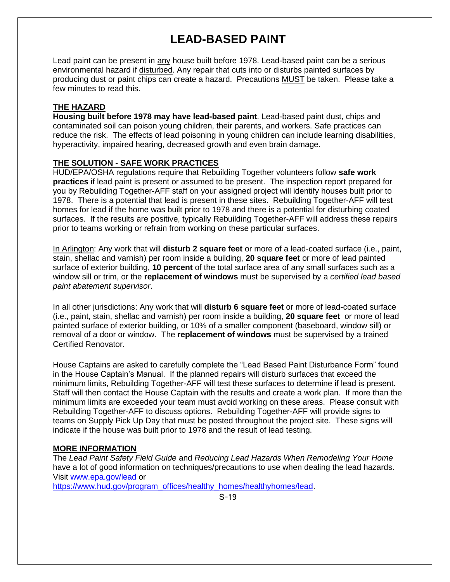# **LEAD-BASED PAINT**

Lead paint can be present in any house built before 1978. Lead-based paint can be a serious environmental hazard if disturbed. Any repair that cuts into or disturbs painted surfaces by producing dust or paint chips can create a hazard. Precautions MUST be taken. Please take a few minutes to read this.

#### **THE HAZARD**

**Housing built before 1978 may have lead-based paint**. Lead-based paint dust, chips and contaminated soil can poison young children, their parents, and workers. Safe practices can reduce the risk. The effects of lead poisoning in young children can include learning disabilities, hyperactivity, impaired hearing, decreased growth and even brain damage.

#### **THE SOLUTION - SAFE WORK PRACTICES**

HUD/EPA/OSHA regulations require that Rebuilding Together volunteers follow **safe work practices** if lead paint is present or assumed to be present. The inspection report prepared for you by Rebuilding Together-AFF staff on your assigned project will identify houses built prior to 1978. There is a potential that lead is present in these sites. Rebuilding Together-AFF will test homes for lead if the home was built prior to 1978 and there is a potential for disturbing coated surfaces. If the results are positive, typically Rebuilding Together-AFF will address these repairs prior to teams working or refrain from working on these particular surfaces.

In Arlington: Any work that will **disturb 2 square feet** or more of a lead-coated surface (i.e., paint, stain, shellac and varnish) per room inside a building, **20 square feet** or more of lead painted surface of exterior building, **10 percent** of the total surface area of any small surfaces such as a window sill or trim, or the **replacement of windows** must be supervised by a *certified lead based paint abatement supervisor*.

In all other jurisdictions: Any work that will **disturb 6 square feet** or more of lead-coated surface (i.e., paint, stain, shellac and varnish) per room inside a building, **20 square feet** or more of lead painted surface of exterior building, or 10% of a smaller component (baseboard, window sill) or removal of a door or window. The **replacement of windows** must be supervised by a trained Certified Renovator.

House Captains are asked to carefully complete the "Lead Based Paint Disturbance Form" found in the House Captain's Manual. If the planned repairs will disturb surfaces that exceed the minimum limits, Rebuilding Together-AFF will test these surfaces to determine if lead is present. Staff will then contact the House Captain with the results and create a work plan. If more than the minimum limits are exceeded your team must avoid working on these areas. Please consult with Rebuilding Together-AFF to discuss options. Rebuilding Together-AFF will provide signs to teams on Supply Pick Up Day that must be posted throughout the project site. These signs will indicate if the house was built prior to 1978 and the result of lead testing.

#### **MORE INFORMATION**

The *Lead Paint Safety Field Guide* and *Reducing Lead Hazards When Remodeling Your Home* have a lot of good information on techniques/precautions to use when dealing the lead hazards. Visit [www.epa.gov/lead](http://www.epa.gov/lead) or

[https://www.hud.gov/program\\_offices/healthy\\_homes/healthyhomes/lead.](https://www.hud.gov/program_offices/healthy_homes/healthyhomes/lead)

S-19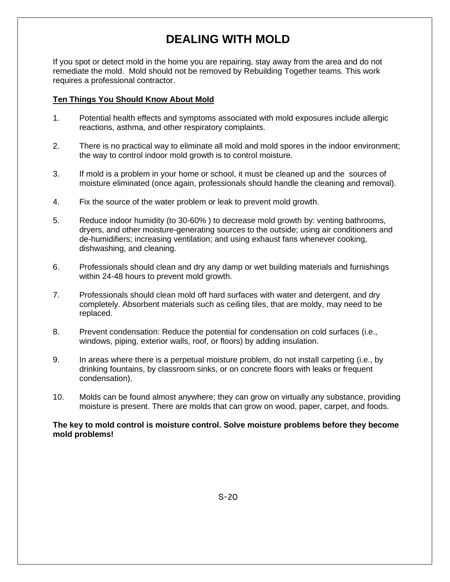# **DEALING WITH MOLD**

If you spot or detect mold in the home you are repairing, stay away from the area and do not remediate the mold. Mold should not be removed by Rebuilding Together teams. This work requires a professional contractor.

#### **Ten Things You Should Know About Mold**

- 1. Potential health effects and symptoms associated with mold exposures include allergic reactions, asthma, and other respiratory complaints.
- 2. There is no practical way to eliminate all mold and mold spores in the indoor environment; the way to control indoor mold growth is to control moisture.
- 3. If mold is a problem in your home or school, it must be cleaned up and the sources of moisture eliminated (once again, professionals should handle the cleaning and removal).
- 4. Fix the source of the water problem or leak to prevent mold growth.
- 5. Reduce indoor humidity (to 30-60% ) to decrease mold growth by: venting bathrooms, dryers, and other moisture-generating sources to the outside; using air conditioners and de-humidifiers; increasing ventilation; and using exhaust fans whenever cooking, dishwashing, and cleaning.
- 6. Professionals should clean and dry any damp or wet building materials and furnishings within 24-48 hours to prevent mold growth.
- 7. Professionals should clean mold off hard surfaces with water and detergent, and dry completely. Absorbent materials such as ceiling tiles, that are moldy, may need to be replaced.
- 8. Prevent condensation: Reduce the potential for condensation on cold surfaces (i.e., windows, piping, exterior walls, roof, or floors) by adding insulation.
- 9. In areas where there is a perpetual moisture problem, do not install carpeting (i.e., by drinking fountains, by classroom sinks, or on concrete floors with leaks or frequent condensation).
- 10. Molds can be found almost anywhere; they can grow on virtually any substance, providing moisture is present. There are molds that can grow on wood, paper, carpet, and foods.

**The key to mold control is moisture control. Solve moisture problems before they become mold problems!**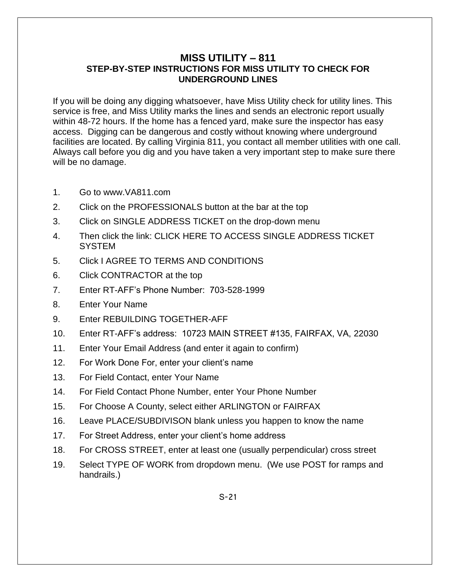#### **MISS UTILITY – 811 STEP-BY-STEP INSTRUCTIONS FOR MISS UTILITY TO CHECK FOR UNDERGROUND LINES**

If you will be doing any digging whatsoever, have Miss Utility check for utility lines. This service is free, and Miss Utility marks the lines and sends an electronic report usually within 48-72 hours. If the home has a fenced yard, make sure the inspector has easy access. Digging can be dangerous and costly without knowing where underground facilities are located. By calling Virginia 811, you contact all member utilities with one call. Always call before you dig and you have taken a very important step to make sure there will be no damage.

- 1. Go to www.VA811.com
- 2. Click on the PROFESSIONALS button at the bar at the top
- 3. Click on SINGLE ADDRESS TICKET on the drop-down menu
- 4. Then click the link: CLICK HERE TO ACCESS SINGLE ADDRESS TICKET **SYSTEM**
- 5. Click I AGREE TO TERMS AND CONDITIONS
- 6. Click CONTRACTOR at the top
- 7. Enter RT-AFF's Phone Number: 703-528-1999
- 8. Enter Your Name
- 9. Enter REBUILDING TOGETHER-AFF
- 10. Enter RT-AFF's address: 10723 MAIN STREET #135, FAIRFAX, VA, 22030
- 11. Enter Your Email Address (and enter it again to confirm)
- 12. For Work Done For, enter your client's name
- 13. For Field Contact, enter Your Name
- 14. For Field Contact Phone Number, enter Your Phone Number
- 15. For Choose A County, select either ARLINGTON or FAIRFAX
- 16. Leave PLACE/SUBDIVISON blank unless you happen to know the name
- 17. For Street Address, enter your client's home address
- 18. For CROSS STREET, enter at least one (usually perpendicular) cross street
- 19. Select TYPE OF WORK from dropdown menu. (We use POST for ramps and handrails.)